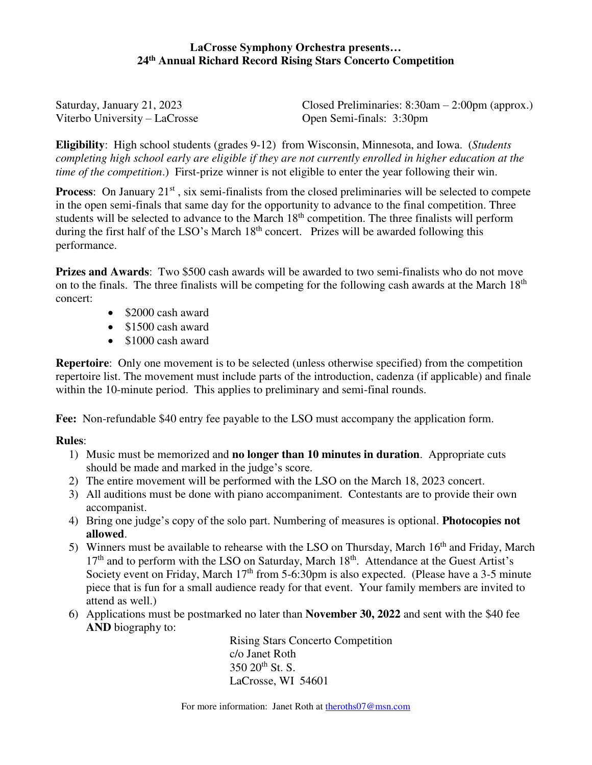## **LaCrosse Symphony Orchestra presents… 24th Annual Richard Record Rising Stars Concerto Competition**

| Saturday, January 21, 2023    | Closed Preliminaries: $8:30$ am $-2:00$ pm (approx.) |
|-------------------------------|------------------------------------------------------|
| Viterbo University – LaCrosse | Open Semi-finals: 3:30pm                             |

**Eligibility**: High school students (grades 9-12) from Wisconsin, Minnesota, and Iowa. (*Students completing high school early are eligible if they are not currently enrolled in higher education at the time of the competition*.) First-prize winner is not eligible to enter the year following their win.

**Process**: On January 21<sup>st</sup>, six semi-finalists from the closed preliminaries will be selected to compete in the open semi-finals that same day for the opportunity to advance to the final competition. Three students will be selected to advance to the March 18<sup>th</sup> competition. The three finalists will perform during the first half of the LSO's March 18<sup>th</sup> concert. Prizes will be awarded following this performance.

**Prizes and Awards**: Two \$500 cash awards will be awarded to two semi-finalists who do not move on to the finals. The three finalists will be competing for the following cash awards at the March 18<sup>th</sup> concert:

- \$2000 cash award
- $\bullet$  \$1500 cash award
- \$1000 cash award

**Repertoire**: Only one movement is to be selected (unless otherwise specified) from the competition repertoire list. The movement must include parts of the introduction, cadenza (if applicable) and finale within the 10-minute period. This applies to preliminary and semi-final rounds.

**Fee:** Non-refundable \$40 entry fee payable to the LSO must accompany the application form.

## **Rules**:

- 1) Music must be memorized and **no longer than 10 minutes in duration**. Appropriate cuts should be made and marked in the judge's score.
- 2) The entire movement will be performed with the LSO on the March 18, 2023 concert.
- 3) All auditions must be done with piano accompaniment. Contestants are to provide their own accompanist.
- 4) Bring one judge's copy of the solo part. Numbering of measures is optional. **Photocopies not allowed**.
- 5) Winners must be available to rehearse with the LSO on Thursday, March  $16<sup>th</sup>$  and Friday, March  $17<sup>th</sup>$  and to perform with the LSO on Saturday, March  $18<sup>th</sup>$ . Attendance at the Guest Artist's Society event on Friday, March  $17<sup>th</sup>$  from 5-6:30pm is also expected. (Please have a 3-5 minute piece that is fun for a small audience ready for that event. Your family members are invited to attend as well.)
- 6) Applications must be postmarked no later than **November 30, 2022** and sent with the \$40 fee **AND** biography to:

Rising Stars Concerto Competition c/o Janet Roth 350 20th St. S. LaCrosse, WI 54601